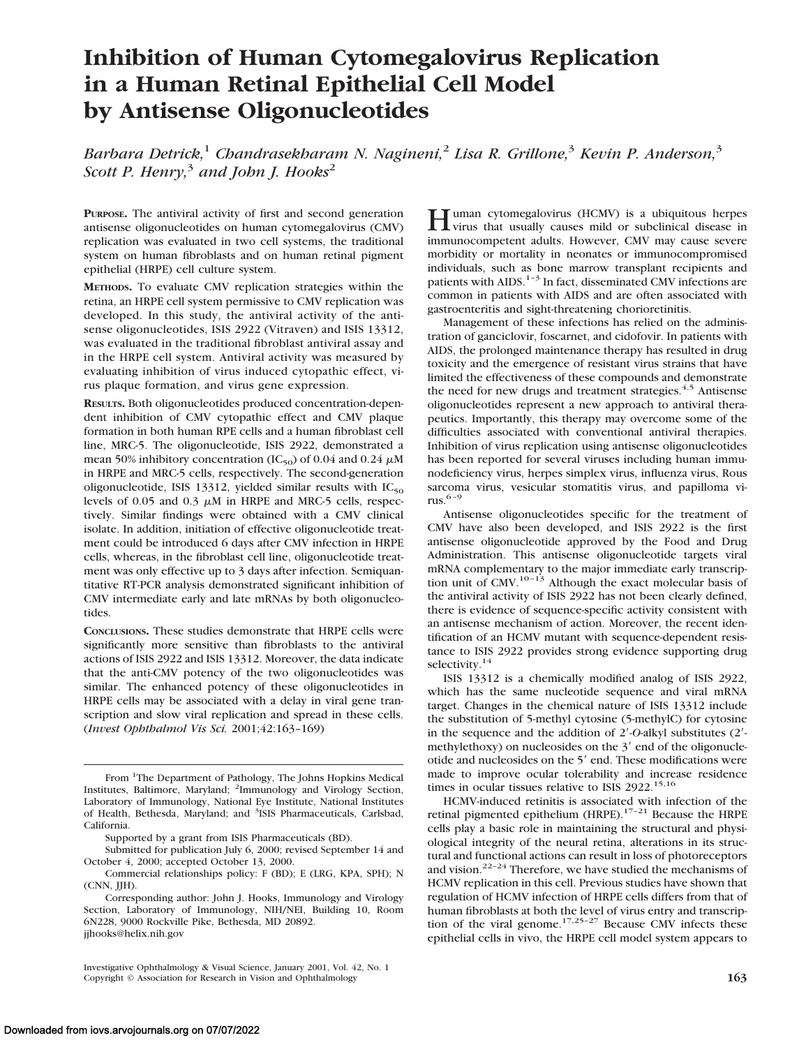# **Inhibition of Human Cytomegalovirus Replication in a Human Retinal Epithelial Cell Model by Antisense Oligonucleotides**

*Barbara Detrick,*<sup>1</sup> *Chandrasekharam N. Nagineni,*<sup>2</sup> *Lisa R. Grillone,*<sup>3</sup> *Kevin P. Anderson,*<sup>3</sup> *Scott P. Henry,*<sup>3</sup> *and John J. Hooks*<sup>2</sup>

**PURPOSE.** The antiviral activity of first and second generation antisense oligonucleotides on human cytomegalovirus (CMV) replication was evaluated in two cell systems, the traditional system on human fibroblasts and on human retinal pigment epithelial (HRPE) cell culture system.

**METHODS.** To evaluate CMV replication strategies within the retina, an HRPE cell system permissive to CMV replication was developed. In this study, the antiviral activity of the antisense oligonucleotides, ISIS 2922 (Vitraven) and ISIS 13312, was evaluated in the traditional fibroblast antiviral assay and in the HRPE cell system. Antiviral activity was measured by evaluating inhibition of virus induced cytopathic effect, virus plaque formation, and virus gene expression.

**RESULTS.** Both oligonucleotides produced concentration-dependent inhibition of CMV cytopathic effect and CMV plaque formation in both human RPE cells and a human fibroblast cell line, MRC-5. The oligonucleotide, ISIS 2922, demonstrated a mean 50% inhibitory concentration (IC<sub>50</sub>) of 0.04 and 0.24  $\mu$ M in HRPE and MRC-5 cells, respectively. The second-generation oligonucleotide, ISIS 13312, yielded similar results with  $IC_{50}$ levels of 0.05 and 0.3  $\mu$ M in HRPE and MRC-5 cells, respectively. Similar findings were obtained with a CMV clinical isolate. In addition, initiation of effective oligonucleotide treatment could be introduced 6 days after CMV infection in HRPE cells, whereas, in the fibroblast cell line, oligonucleotide treatment was only effective up to 3 days after infection. Semiquantitative RT-PCR analysis demonstrated significant inhibition of CMV intermediate early and late mRNAs by both oligonucleotides.

**CONCLUSIONS.** These studies demonstrate that HRPE cells were significantly more sensitive than fibroblasts to the antiviral actions of ISIS 2922 and ISIS 13312. Moreover, the data indicate that the anti-CMV potency of the two oligonucleotides was similar. The enhanced potency of these oligonucleotides in HRPE cells may be associated with a delay in viral gene transcription and slow viral replication and spread in these cells. (*Invest Ophthalmol Vis Sci.* 2001;42:163–169)

**H**uman cytomegalovirus (HCMV) is a ubiquitous herpes<br>virus that usually causes mild or subclinical disease in immunocompetent adults. However, CMV may cause severe morbidity or mortality in neonates or immunocompromised individuals, such as bone marrow transplant recipients and patients with AIDS.<sup>1-3</sup> In fact, disseminated CMV infections are common in patients with AIDS and are often associated with gastroenteritis and sight-threatening chorioretinitis.

Management of these infections has relied on the administration of ganciclovir, foscarnet, and cidofovir. In patients with AIDS, the prolonged maintenance therapy has resulted in drug toxicity and the emergence of resistant virus strains that have limited the effectiveness of these compounds and demonstrate the need for new drugs and treatment strategies.<sup>4,5</sup> Antisense oligonucleotides represent a new approach to antiviral therapeutics. Importantly, this therapy may overcome some of the difficulties associated with conventional antiviral therapies. Inhibition of virus replication using antisense oligonucleotides has been reported for several viruses including human immunodeficiency virus, herpes simplex virus, influenza virus, Rous sarcoma virus, vesicular stomatitis virus, and papilloma virus.6–9

Antisense oligonucleotides specific for the treatment of CMV have also been developed, and ISIS 2922 is the first antisense oligonucleotide approved by the Food and Drug Administration. This antisense oligonucleotide targets viral mRNA complementary to the major immediate early transcription unit of  $CMV$ .<sup>10–13</sup> Although the exact molecular basis of the antiviral activity of ISIS 2922 has not been clearly defined, there is evidence of sequence-specific activity consistent with an antisense mechanism of action. Moreover, the recent identification of an HCMV mutant with sequence-dependent resistance to ISIS 2922 provides strong evidence supporting drug selectivity.<sup>14</sup>

ISIS 13312 is a chemically modified analog of ISIS 2922, which has the same nucleotide sequence and viral mRNA target. Changes in the chemical nature of ISIS 13312 include the substitution of 5-methyl cytosine (5-methylC) for cytosine in the sequence and the addition of 2'-O-alkyl substitutes (2'methylethoxy) on nucleosides on the  $3'$  end of the oligonucleotide and nucleosides on the 5' end. These modifications were made to improve ocular tolerability and increase residence times in ocular tissues relative to ISIS 2922.<sup>15,16</sup>

HCMV-induced retinitis is associated with infection of the retinal pigmented epithelium (HRPE).<sup>17-21</sup> Because the HRPE cells play a basic role in maintaining the structural and physiological integrity of the neural retina, alterations in its structural and functional actions can result in loss of photoreceptors and vision.<sup>22–24</sup> Therefore, we have studied the mechanisms of HCMV replication in this cell. Previous studies have shown that regulation of HCMV infection of HRPE cells differs from that of human fibroblasts at both the level of virus entry and transcription of the viral genome.<sup>17,25-27</sup> Because CMV infects these epithelial cells in vivo, the HRPE cell model system appears to

From <sup>1</sup>The Department of Pathology, The Johns Hopkins Medical Institutes, Baltimore, Maryland; <sup>2</sup>Immunology and Virology Section, Laboratory of Immunology, National Eye Institute, National Institutes of Health, Bethesda, Maryland; and <sup>3</sup>ISIS Pharmaceuticals, Carlsbad, California.

Supported by a grant from ISIS Pharmaceuticals (BD).

Submitted for publication July 6, 2000; revised September 14 and October 4, 2000; accepted October 13, 2000.

Commercial relationships policy: F (BD); E (LRG, KPA, SPH); N (CNN, JJH).

Corresponding author: John J. Hooks, Immunology and Virology Section, Laboratory of Immunology, NIH/NEI, Building 10, Room 6N228, 9000 Rockville Pike, Bethesda, MD 20892. jjhooks@helix.nih.gov

Investigative Ophthalmology & Visual Science, January 2001, Vol. 42, No. 1 Copyright © Association for Research in Vision and Ophthalmology **163**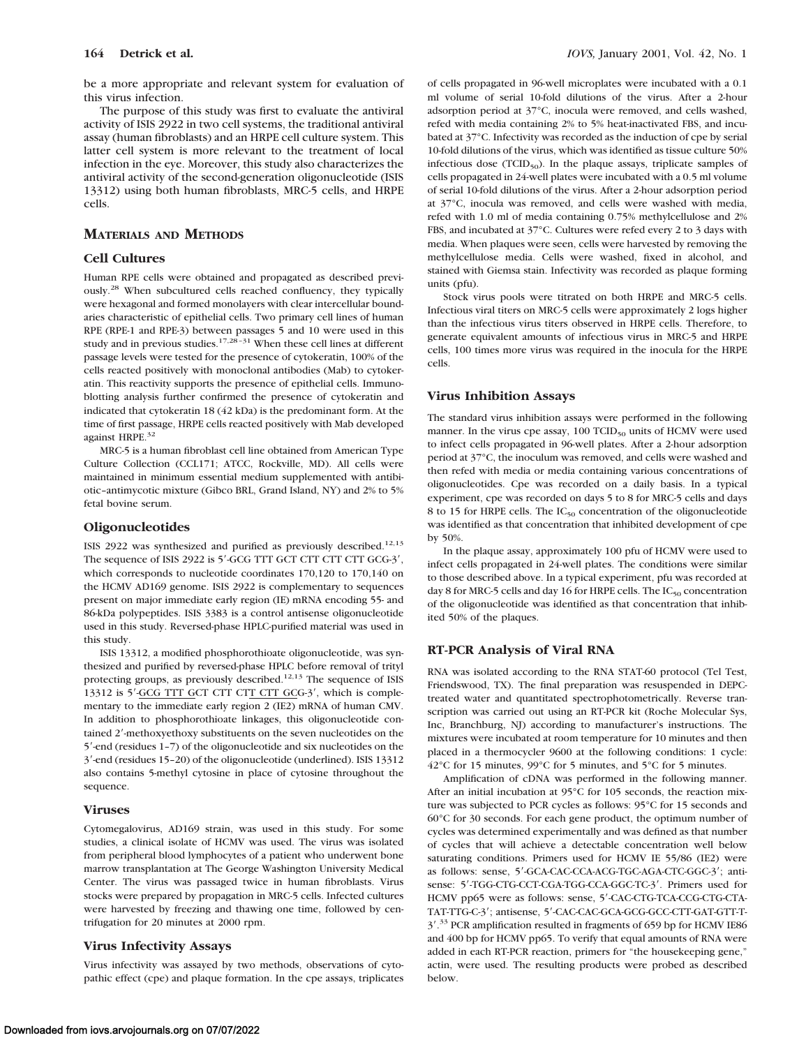The purpose of this study was first to evaluate the antiviral activity of ISIS 2922 in two cell systems, the traditional antiviral assay (human fibroblasts) and an HRPE cell culture system. This latter cell system is more relevant to the treatment of local infection in the eye. Moreover, this study also characterizes the antiviral activity of the second-generation oligonucleotide (ISIS 13312) using both human fibroblasts, MRC-5 cells, and HRPE cells.

# **MATERIALS AND METHODS**

## **Cell Cultures**

Human RPE cells were obtained and propagated as described previously.28 When subcultured cells reached confluency, they typically were hexagonal and formed monolayers with clear intercellular boundaries characteristic of epithelial cells. Two primary cell lines of human RPE (RPE-1 and RPE-3) between passages 5 and 10 were used in this study and in previous studies.<sup>17,28-31</sup> When these cell lines at different passage levels were tested for the presence of cytokeratin, 100% of the cells reacted positively with monoclonal antibodies (Mab) to cytokeratin. This reactivity supports the presence of epithelial cells. Immunoblotting analysis further confirmed the presence of cytokeratin and indicated that cytokeratin 18 (42 kDa) is the predominant form. At the time of first passage, HRPE cells reacted positively with Mab developed against HRPE.<sup>32</sup>

MRC-5 is a human fibroblast cell line obtained from American Type Culture Collection (CCL171; ATCC, Rockville, MD). All cells were maintained in minimum essential medium supplemented with antibiotic–antimycotic mixture (Gibco BRL, Grand Island, NY) and 2% to 5% fetal bovine serum.

#### **Oligonucleotides**

ISIS 2922 was synthesized and purified as previously described.<sup>12,13</sup> The sequence of ISIS 2922 is 5'-GCG TTT GCT CTT CTT CTT GCG-3', which corresponds to nucleotide coordinates 170,120 to 170,140 on the HCMV AD169 genome. ISIS 2922 is complementary to sequences present on major immediate early region (IE) mRNA encoding 55- and 86-kDa polypeptides. ISIS 3383 is a control antisense oligonucleotide used in this study. Reversed-phase HPLC-purified material was used in this study.

ISIS 13312, a modified phosphorothioate oligonucleotide, was synthesized and purified by reversed-phase HPLC before removal of trityl protecting groups, as previously described.<sup>12,13</sup> The sequence of ISIS 13312 is 5'-GCG TTT GCT CTT CTT CTT GCG-3', which is complementary to the immediate early region 2 (IE2) mRNA of human CMV. In addition to phosphorothioate linkages, this oligonucleotide contained 2'-methoxyethoxy substituents on the seven nucleotides on the 5'-end (residues 1-7) of the oligonucleotide and six nucleotides on the 3'-end (residues 15-20) of the oligonucleotide (underlined). ISIS 13312 also contains 5-methyl cytosine in place of cytosine throughout the sequence.

#### **Viruses**

Cytomegalovirus, AD169 strain, was used in this study. For some studies, a clinical isolate of HCMV was used. The virus was isolated from peripheral blood lymphocytes of a patient who underwent bone marrow transplantation at The George Washington University Medical Center. The virus was passaged twice in human fibroblasts. Virus stocks were prepared by propagation in MRC-5 cells. Infected cultures were harvested by freezing and thawing one time, followed by centrifugation for 20 minutes at 2000 rpm.

# **Virus Infectivity Assays**

Virus infectivity was assayed by two methods, observations of cytopathic effect (cpe) and plaque formation. In the cpe assays, triplicates of cells propagated in 96-well microplates were incubated with a 0.1 ml volume of serial 10-fold dilutions of the virus. After a 2-hour adsorption period at 37°C, inocula were removed, and cells washed, refed with media containing 2% to 5% heat-inactivated FBS, and incubated at 37°C. Infectivity was recorded as the induction of cpe by serial 10-fold dilutions of the virus, which was identified as tissue culture 50% infectious dose  $(TCID_{50})$ . In the plaque assays, triplicate samples of cells propagated in 24-well plates were incubated with a 0.5 ml volume of serial 10-fold dilutions of the virus. After a 2-hour adsorption period at 37°C, inocula was removed, and cells were washed with media, refed with 1.0 ml of media containing 0.75% methylcellulose and 2% FBS, and incubated at 37°C. Cultures were refed every 2 to 3 days with media. When plaques were seen, cells were harvested by removing the methylcellulose media. Cells were washed, fixed in alcohol, and stained with Giemsa stain. Infectivity was recorded as plaque forming units (pfu).

Stock virus pools were titrated on both HRPE and MRC-5 cells. Infectious viral titers on MRC-5 cells were approximately 2 logs higher than the infectious virus titers observed in HRPE cells. Therefore, to generate equivalent amounts of infectious virus in MRC-5 and HRPE cells, 100 times more virus was required in the inocula for the HRPE cells.

# **Virus Inhibition Assays**

The standard virus inhibition assays were performed in the following manner. In the virus cpe assay,  $100$  TCID<sub>50</sub> units of HCMV were used to infect cells propagated in 96-well plates. After a 2-hour adsorption period at 37°C, the inoculum was removed, and cells were washed and then refed with media or media containing various concentrations of oligonucleotides. Cpe was recorded on a daily basis. In a typical experiment, cpe was recorded on days 5 to 8 for MRC-5 cells and days 8 to 15 for HRPE cells. The  $IC_{50}$  concentration of the oligonucleotide was identified as that concentration that inhibited development of cpe by 50%.

In the plaque assay, approximately 100 pfu of HCMV were used to infect cells propagated in 24-well plates. The conditions were similar to those described above. In a typical experiment, pfu was recorded at day 8 for MRC-5 cells and day 16 for HRPE cells. The  $IC_{50}$  concentration of the oligonucleotide was identified as that concentration that inhibited 50% of the plaques.

# **RT-PCR Analysis of Viral RNA**

RNA was isolated according to the RNA STAT-60 protocol (Tel Test, Friendswood, TX). The final preparation was resuspended in DEPCtreated water and quantitated spectrophotometrically. Reverse transcription was carried out using an RT-PCR kit (Roche Molecular Sys, Inc, Branchburg, NJ) according to manufacturer's instructions. The mixtures were incubated at room temperature for 10 minutes and then placed in a thermocycler 9600 at the following conditions: 1 cycle: 42°C for 15 minutes, 99°C for 5 minutes, and 5°C for 5 minutes.

Amplification of cDNA was performed in the following manner. After an initial incubation at 95°C for 105 seconds, the reaction mixture was subjected to PCR cycles as follows: 95°C for 15 seconds and 60°C for 30 seconds. For each gene product, the optimum number of cycles was determined experimentally and was defined as that number of cycles that will achieve a detectable concentration well below saturating conditions. Primers used for HCMV IE 55/86 (IE2) were as follows: sense, 5'-GCA-CAC-CCA-ACG-TGC-AGA-CTC-GGC-3'; antisense: 5'-TGG-CTG-CCT-CGA-TGG-CCA-GGC-TC-3'. Primers used for HCMV pp65 were as follows: sense, 5'-CAC-CTG-TCA-CCG-CTG-CTA-TAT-TTG-C-3'; antisense, 5'-CAC-CAC-GCA-GCG-GCC-CTT-GAT-GTT-T-3'.<sup>33</sup> PCR amplification resulted in fragments of 659 bp for HCMV IE86 and 400 bp for HCMV pp65. To verify that equal amounts of RNA were added in each RT-PCR reaction, primers for "the housekeeping gene," actin, were used. The resulting products were probed as described below.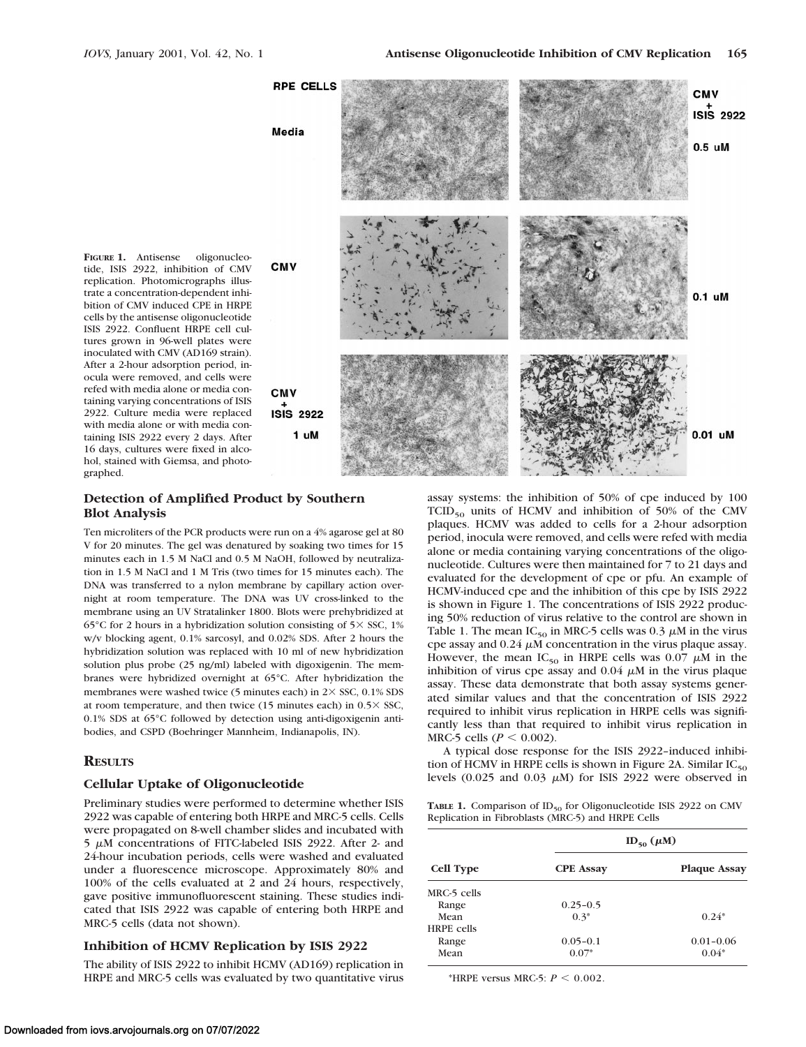

# **Detection of Amplified Product by Southern Blot Analysis**

Ten microliters of the PCR products were run on a 4% agarose gel at 80 V for 20 minutes. The gel was denatured by soaking two times for 15 minutes each in 1.5 M NaCl and 0.5 M NaOH, followed by neutralization in 1.5 M NaCl and 1 M Tris (two times for 15 minutes each). The DNA was transferred to a nylon membrane by capillary action overnight at room temperature. The DNA was UV cross-linked to the membrane using an UV Stratalinker 1800. Blots were prehybridized at 65°C for 2 hours in a hybridization solution consisting of  $5\times$  SSC, 1% w/v blocking agent, 0.1% sarcosyl, and 0.02% SDS. After 2 hours the hybridization solution was replaced with 10 ml of new hybridization solution plus probe (25 ng/ml) labeled with digoxigenin. The membranes were hybridized overnight at 65°C. After hybridization the membranes were washed twice (5 minutes each) in  $2 \times$  SSC, 0.1% SDS at room temperature, and then twice (15 minutes each) in  $0.5 \times$  SSC, 0.1% SDS at 65°C followed by detection using anti-digoxigenin antibodies, and CSPD (Boehringer Mannheim, Indianapolis, IN).

#### **RESULTS**

# **Cellular Uptake of Oligonucleotide**

Preliminary studies were performed to determine whether ISIS 2922 was capable of entering both HRPE and MRC-5 cells. Cells were propagated on 8-well chamber slides and incubated with  $5 \mu$ M concentrations of FITC-labeled ISIS 2922. After 2- and 24-hour incubation periods, cells were washed and evaluated under a fluorescence microscope. Approximately 80% and 100% of the cells evaluated at 2 and 24 hours, respectively, gave positive immunofluorescent staining. These studies indicated that ISIS 2922 was capable of entering both HRPE and MRC-5 cells (data not shown).

## **Inhibition of HCMV Replication by ISIS 2922**

The ability of ISIS 2922 to inhibit HCMV (AD169) replication in HRPE and MRC-5 cells was evaluated by two quantitative virus

assay systems: the inhibition of 50% of cpe induced by 100  $TCID_{50}$  units of HCMV and inhibition of 50% of the CMV plaques. HCMV was added to cells for a 2-hour adsorption period, inocula were removed, and cells were refed with media alone or media containing varying concentrations of the oligonucleotide. Cultures were then maintained for 7 to 21 days and evaluated for the development of cpe or pfu. An example of HCMV-induced cpe and the inhibition of this cpe by ISIS 2922 is shown in Figure 1. The concentrations of ISIS 2922 producing 50% reduction of virus relative to the control are shown in Table 1. The mean  $IC_{50}$  in MRC-5 cells was 0.3  $\mu$ M in the virus cpe assay and  $0.24 \mu$ M concentration in the virus plaque assay. However, the mean IC<sub>50</sub> in HRPE cells was 0.07  $\mu$ M in the inhibition of virus cpe assay and  $0.04 \mu$ M in the virus plaque assay. These data demonstrate that both assay systems generated similar values and that the concentration of ISIS 2922 required to inhibit virus replication in HRPE cells was significantly less than that required to inhibit virus replication in MRC-5 cells ( $P < 0.002$ ).

A typical dose response for the ISIS 2922–induced inhibition of HCMV in HRPE cells is shown in Figure 2A. Similar  $IC_{50}$ levels (0.025 and 0.03  $\mu$ M) for ISIS 2922 were observed in

**TABLE 1.** Comparison of  $ID_{50}$  for Oligonucleotide ISIS 2922 on CMV Replication in Fibroblasts (MRC-5) and HRPE Cells

| <b>Cell Type</b>  | $ID_{50}(\mu M)$ |                     |
|-------------------|------------------|---------------------|
|                   | <b>CPE Assay</b> | <b>Plaque Assay</b> |
| MRC-5 cells       |                  |                     |
| Range             | $0.25 - 0.5$     |                     |
| Mean              | $0.3*$           | $0.24*$             |
| <b>HRPE</b> cells |                  |                     |
| Range             | $0.05 - 0.1$     | $0.01 - 0.06$       |
| Mean              | $0.07*$          | $0.04*$             |

\*HRPE versus MRC-5:  $P < 0.002$ .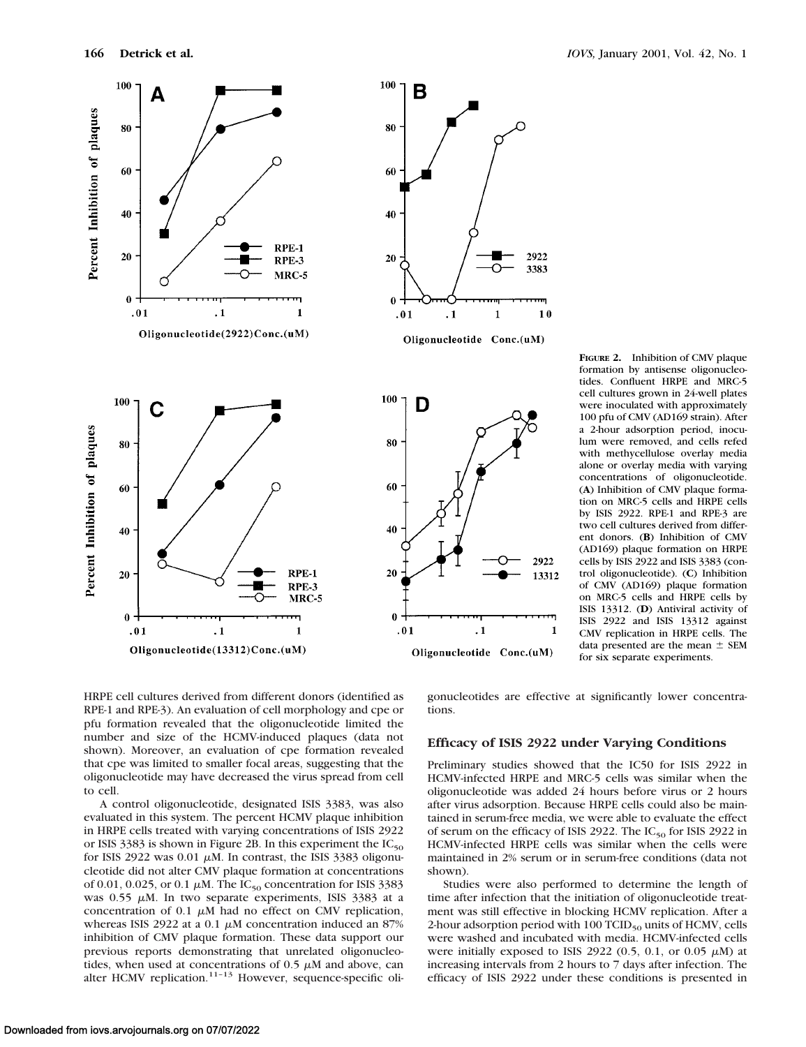

**FIGURE 2.** Inhibition of CMV plaque formation by antisense oligonucleotides. Confluent HRPE and MRC-5 cell cultures grown in 24-well plates were inoculated with approximately 100 pfu of CMV (AD169 strain). After a 2-hour adsorption period, inoculum were removed, and cells refed with methycellulose overlay media alone or overlay media with varying concentrations of oligonucleotide. (**A**) Inhibition of CMV plaque formation on MRC-5 cells and HRPE cells by ISIS 2922. RPE-1 and RPE-3 are two cell cultures derived from different donors. (**B**) Inhibition of CMV (AD169) plaque formation on HRPE cells by ISIS 2922 and ISIS 3383 (control oligonucleotide). (**C**) Inhibition of CMV (AD169) plaque formation on MRC-5 cells and HRPE cells by ISIS 13312. (**D**) Antiviral activity of ISIS 2922 and ISIS 13312 against CMV replication in HRPE cells. The data presented are the mean  $\pm$  SEM for six separate experiments.

HRPE cell cultures derived from different donors (identified as RPE-1 and RPE-3). An evaluation of cell morphology and cpe or pfu formation revealed that the oligonucleotide limited the number and size of the HCMV-induced plaques (data not shown). Moreover, an evaluation of cpe formation revealed that cpe was limited to smaller focal areas, suggesting that the oligonucleotide may have decreased the virus spread from cell to cell.

A control oligonucleotide, designated ISIS 3383, was also evaluated in this system. The percent HCMV plaque inhibition in HRPE cells treated with varying concentrations of ISIS 2922 or ISIS 3383 is shown in Figure 2B. In this experiment the  $IC_{50}$ for ISIS 2922 was  $0.01 \mu M$ . In contrast, the ISIS 3383 oligonucleotide did not alter CMV plaque formation at concentrations of 0.01, 0.025, or 0.1  $\mu$ M. The IC<sub>50</sub> concentration for ISIS 3383 was 0.55  $\mu$ M. In two separate experiments, ISIS 3383 at a concentration of 0.1  $\mu$ M had no effect on CMV replication, whereas ISIS 2922 at a 0.1  $\mu$ M concentration induced an 87% inhibition of CMV plaque formation. These data support our previous reports demonstrating that unrelated oligonucleotides, when used at concentrations of  $0.5 \mu M$  and above, can alter HCMV replication.<sup>11-13</sup> However, sequence-specific oligonucleotides are effective at significantly lower concentrations.

#### **Efficacy of ISIS 2922 under Varying Conditions**

2922

3383

 $10$ 

2922

13312

 $\mathbf{1}$ 

Preliminary studies showed that the IC50 for ISIS 2922 in HCMV-infected HRPE and MRC-5 cells was similar when the oligonucleotide was added 24 hours before virus or 2 hours after virus adsorption. Because HRPE cells could also be maintained in serum-free media, we were able to evaluate the effect of serum on the efficacy of ISIS 2922. The  $IC_{50}$  for ISIS 2922 in HCMV-infected HRPE cells was similar when the cells were maintained in 2% serum or in serum-free conditions (data not shown).

Studies were also performed to determine the length of time after infection that the initiation of oligonucleotide treatment was still effective in blocking HCMV replication. After a 2-hour adsorption period with  $100$  TCID<sub>50</sub> units of HCMV, cells were washed and incubated with media. HCMV-infected cells were initially exposed to ISIS 2922 (0.5, 0.1, or 0.05  $\mu$ M) at increasing intervals from 2 hours to 7 days after infection. The efficacy of ISIS 2922 under these conditions is presented in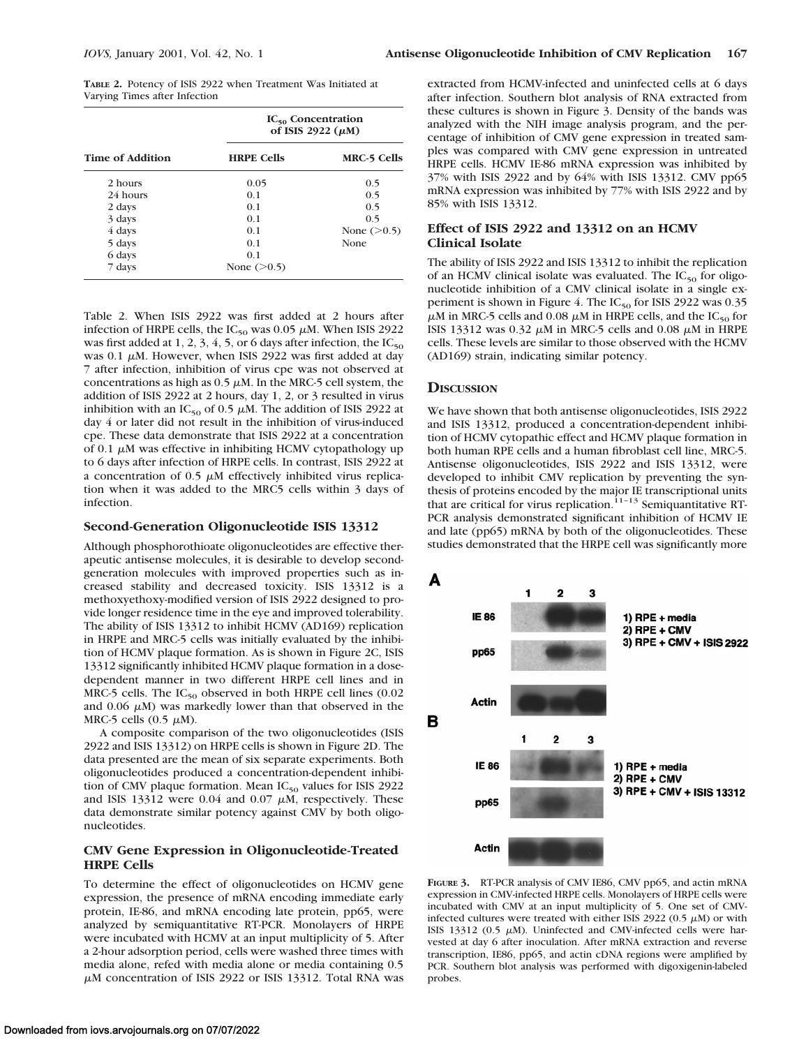**TABLE 2.** Potency of ISIS 2922 when Treatment Was Initiated at Varying Times after Infection

|                  | $IC_{50}$ Concentration<br>of ISIS 2922 $(\mu M)$ |                    |
|------------------|---------------------------------------------------|--------------------|
| Time of Addition | <b>HRPE Cells</b>                                 | <b>MRC-5 Cells</b> |
| 2 hours          | 0.05                                              | 0.5                |
| 24 hours         | 0 <sub>1</sub>                                    | 0.5                |
| 2 days           | 0 <sub>1</sub>                                    | 0.5                |
| 3 days           | 0.1                                               | 0.5                |
| 4 days           | 0 <sub>1</sub>                                    | None $(>0.5)$      |
| 5 days           | 0 <sub>1</sub>                                    | None               |
| 6 days           | 0.1                                               |                    |
| 7 days           | None $(>0.5)$                                     |                    |

Table 2. When ISIS 2922 was first added at 2 hours after infection of HRPE cells, the IC<sub>50</sub> was 0.05  $\mu$ M. When ISIS 2922 was first added at 1, 2, 3, 4, 5, or 6 days after infection, the  $IC_{50}$ was 0.1  $\mu$ M. However, when ISIS 2922 was first added at day 7 after infection, inhibition of virus cpe was not observed at concentrations as high as  $0.5 \mu$ M. In the MRC-5 cell system, the addition of ISIS 2922 at 2 hours, day 1, 2, or 3 resulted in virus inhibition with an IC<sub>50</sub> of 0.5  $\mu$ M. The addition of ISIS 2922 at day 4 or later did not result in the inhibition of virus-induced cpe. These data demonstrate that ISIS 2922 at a concentration of 0.1  $\mu$ M was effective in inhibiting HCMV cytopathology up to 6 days after infection of HRPE cells. In contrast, ISIS 2922 at a concentration of 0.5  $\mu$ M effectively inhibited virus replication when it was added to the MRC5 cells within 3 days of infection.

## **Second-Generation Oligonucleotide ISIS 13312**

Although phosphorothioate oligonucleotides are effective therapeutic antisense molecules, it is desirable to develop secondgeneration molecules with improved properties such as increased stability and decreased toxicity. ISIS 13312 is a methoxyethoxy-modified version of ISIS 2922 designed to provide longer residence time in the eye and improved tolerability. The ability of ISIS 13312 to inhibit HCMV (AD169) replication in HRPE and MRC-5 cells was initially evaluated by the inhibition of HCMV plaque formation. As is shown in Figure 2C, ISIS 13312 significantly inhibited HCMV plaque formation in a dosedependent manner in two different HRPE cell lines and in MRC-5 cells. The  $IC_{50}$  observed in both HRPE cell lines (0.02 and 0.06  $\mu$ M) was markedly lower than that observed in the MRC-5 cells  $(0.5 \mu M)$ .

A composite comparison of the two oligonucleotides (ISIS 2922 and ISIS 13312) on HRPE cells is shown in Figure 2D. The data presented are the mean of six separate experiments. Both oligonucleotides produced a concentration-dependent inhibition of CMV plaque formation. Mean  $IC_{50}$  values for ISIS 2922 and ISIS 13312 were  $0.04$  and  $0.07 \mu M$ , respectively. These data demonstrate similar potency against CMV by both oligonucleotides.

## **CMV Gene Expression in Oligonucleotide-Treated HRPE Cells**

To determine the effect of oligonucleotides on HCMV gene expression, the presence of mRNA encoding immediate early protein, IE-86, and mRNA encoding late protein, pp65, were analyzed by semiquantitative RT-PCR. Monolayers of HRPE were incubated with HCMV at an input multiplicity of 5. After a 2-hour adsorption period, cells were washed three times with media alone, refed with media alone or media containing 0.5  $\mu$ M concentration of ISIS 2922 or ISIS 13312. Total RNA was

extracted from HCMV-infected and uninfected cells at 6 days after infection. Southern blot analysis of RNA extracted from these cultures is shown in Figure 3. Density of the bands was analyzed with the NIH image analysis program, and the percentage of inhibition of CMV gene expression in treated samples was compared with CMV gene expression in untreated HRPE cells. HCMV IE-86 mRNA expression was inhibited by 37% with ISIS 2922 and by 64% with ISIS 13312. CMV pp65 mRNA expression was inhibited by 77% with ISIS 2922 and by 85% with ISIS 13312.

# **Effect of ISIS 2922 and 13312 on an HCMV Clinical Isolate**

The ability of ISIS 2922 and ISIS 13312 to inhibit the replication of an HCMV clinical isolate was evaluated. The  $IC_{50}$  for oligonucleotide inhibition of a CMV clinical isolate in a single experiment is shown in Figure 4. The  $IC_{50}$  for ISIS 2922 was 0.35  $\mu$ M in MRC-5 cells and 0.08  $\mu$ M in HRPE cells, and the IC<sub>50</sub> for ISIS 13312 was 0.32  $\mu$ M in MRC-5 cells and 0.08  $\mu$ M in HRPE cells. These levels are similar to those observed with the HCMV (AD169) strain, indicating similar potency.

#### **DISCUSSION**

We have shown that both antisense oligonucleotides, ISIS 2922 and ISIS 13312, produced a concentration-dependent inhibition of HCMV cytopathic effect and HCMV plaque formation in both human RPE cells and a human fibroblast cell line, MRC-5. Antisense oligonucleotides, ISIS 2922 and ISIS 13312, were developed to inhibit CMV replication by preventing the synthesis of proteins encoded by the major IE transcriptional units that are critical for virus replication. $11-13$  Semiquantitative RT-PCR analysis demonstrated significant inhibition of HCMV IE and late (pp65) mRNA by both of the oligonucleotides. These studies demonstrated that the HRPE cell was significantly more



**FIGURE 3.** RT-PCR analysis of CMV IE86, CMV pp65, and actin mRNA expression in CMV-infected HRPE cells. Monolayers of HRPE cells were incubated with CMV at an input multiplicity of 5. One set of CMVinfected cultures were treated with either ISIS 2922 (0.5  $\mu$ M) or with ISIS 13312 (0.5  $\mu$ M). Uninfected and CMV-infected cells were harvested at day 6 after inoculation. After mRNA extraction and reverse transcription, IE86, pp65, and actin cDNA regions were amplified by PCR. Southern blot analysis was performed with digoxigenin-labeled probes.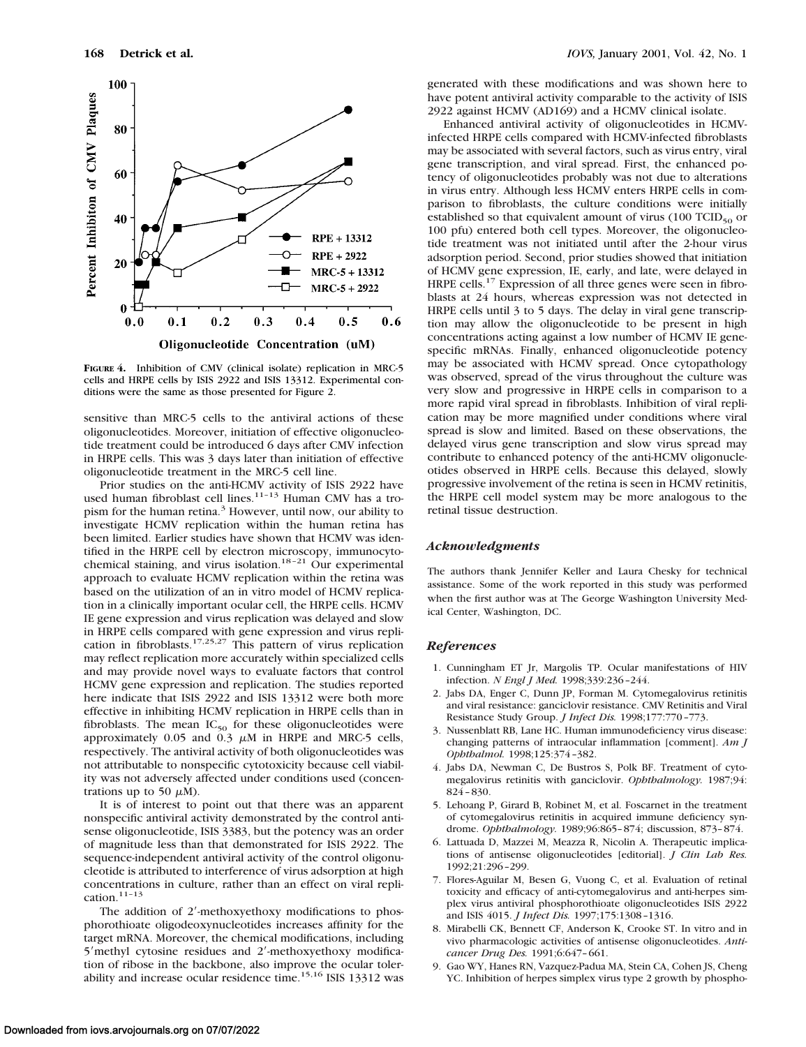

**FIGURE 4.** Inhibition of CMV (clinical isolate) replication in MRC-5 cells and HRPE cells by ISIS 2922 and ISIS 13312. Experimental conditions were the same as those presented for Figure 2.

sensitive than MRC-5 cells to the antiviral actions of these oligonucleotides. Moreover, initiation of effective oligonucleotide treatment could be introduced 6 days after CMV infection in HRPE cells. This was 3 days later than initiation of effective oligonucleotide treatment in the MRC-5 cell line.

Prior studies on the anti-HCMV activity of ISIS 2922 have used human fibroblast cell lines.11–13 Human CMV has a tropism for the human retina.<sup>3</sup> However, until now, our ability to investigate HCMV replication within the human retina has been limited. Earlier studies have shown that HCMV was identified in the HRPE cell by electron microscopy, immunocytochemical staining, and virus isolation.<sup>18-21</sup> Our experimental approach to evaluate HCMV replication within the retina was based on the utilization of an in vitro model of HCMV replication in a clinically important ocular cell, the HRPE cells. HCMV IE gene expression and virus replication was delayed and slow in HRPE cells compared with gene expression and virus replication in fibroblasts.17,25,27 This pattern of virus replication may reflect replication more accurately within specialized cells and may provide novel ways to evaluate factors that control HCMV gene expression and replication. The studies reported here indicate that ISIS 2922 and ISIS 13312 were both more effective in inhibiting HCMV replication in HRPE cells than in fibroblasts. The mean  $IC_{50}$  for these oligonucleotides were approximately 0.05 and 0.3  $\mu$ M in HRPE and MRC-5 cells, respectively. The antiviral activity of both oligonucleotides was not attributable to nonspecific cytotoxicity because cell viability was not adversely affected under conditions used (concentrations up to 50  $\mu$ M).

It is of interest to point out that there was an apparent nonspecific antiviral activity demonstrated by the control antisense oligonucleotide, ISIS 3383, but the potency was an order of magnitude less than that demonstrated for ISIS 2922. The sequence-independent antiviral activity of the control oligonucleotide is attributed to interference of virus adsorption at high concentrations in culture, rather than an effect on viral replication.11–13

The addition of  $2'$ -methoxyethoxy modifications to phosphorothioate oligodeoxynucleotides increases affinity for the target mRNA. Moreover, the chemical modifications, including 5'methyl cytosine residues and 2'-methoxyethoxy modification of ribose in the backbone, also improve the ocular tolerability and increase ocular residence time.<sup>15,16</sup> ISIS 13312 was

generated with these modifications and was shown here to have potent antiviral activity comparable to the activity of ISIS 2922 against HCMV (AD169) and a HCMV clinical isolate.

Enhanced antiviral activity of oligonucleotides in HCMVinfected HRPE cells compared with HCMV-infected fibroblasts may be associated with several factors, such as virus entry, viral gene transcription, and viral spread. First, the enhanced potency of oligonucleotides probably was not due to alterations in virus entry. Although less HCMV enters HRPE cells in comparison to fibroblasts, the culture conditions were initially established so that equivalent amount of virus  $(100 \text{ TCID}_{50} \text{ or }$ 100 pfu) entered both cell types. Moreover, the oligonucleotide treatment was not initiated until after the 2-hour virus adsorption period. Second, prior studies showed that initiation of HCMV gene expression, IE, early, and late, were delayed in HRPE cells.<sup>17</sup> Expression of all three genes were seen in fibroblasts at 24 hours, whereas expression was not detected in HRPE cells until 3 to 5 days. The delay in viral gene transcription may allow the oligonucleotide to be present in high concentrations acting against a low number of HCMV IE genespecific mRNAs. Finally, enhanced oligonucleotide potency may be associated with HCMV spread. Once cytopathology was observed, spread of the virus throughout the culture was very slow and progressive in HRPE cells in comparison to a more rapid viral spread in fibroblasts. Inhibition of viral replication may be more magnified under conditions where viral spread is slow and limited. Based on these observations, the delayed virus gene transcription and slow virus spread may contribute to enhanced potency of the anti-HCMV oligonucleotides observed in HRPE cells. Because this delayed, slowly progressive involvement of the retina is seen in HCMV retinitis, the HRPE cell model system may be more analogous to the retinal tissue destruction.

#### *Acknowledgments*

The authors thank Jennifer Keller and Laura Chesky for technical assistance. Some of the work reported in this study was performed when the first author was at The George Washington University Medical Center, Washington, DC.

#### *References*

- 1. Cunningham ET Jr, Margolis TP. Ocular manifestations of HIV infection. *N Engl J Med.* 1998;339:236–244.
- 2. Jabs DA, Enger C, Dunn JP, Forman M. Cytomegalovirus retinitis and viral resistance: ganciclovir resistance. CMV Retinitis and Viral Resistance Study Group. *J Infect Dis.* 1998;177:770–773.
- 3. Nussenblatt RB, Lane HC. Human immunodeficiency virus disease: changing patterns of intraocular inflammation [comment]. *Am J Ophthalmol.* 1998;125:374–382.
- 4. Jabs DA, Newman C, De Bustros S, Polk BF. Treatment of cytomegalovirus retinitis with ganciclovir. *Ophthalmology.* 1987;94: 824–830.
- 5. Lehoang P, Girard B, Robinet M, et al. Foscarnet in the treatment of cytomegalovirus retinitis in acquired immune deficiency syndrome. *Ophthalmology.* 1989;96:865–874; discussion, 873–874.
- 6. Lattuada D, Mazzei M, Meazza R, Nicolin A. Therapeutic implications of antisense oligonucleotides [editorial]. *J Clin Lab Res.* 1992;21:296–299.
- 7. Flores-Aguilar M, Besen G, Vuong C, et al. Evaluation of retinal toxicity and efficacy of anti-cytomegalovirus and anti-herpes simplex virus antiviral phosphorothioate oligonucleotides ISIS 2922 and ISIS 4015. *J Infect Dis.* 1997;175:1308–1316.
- 8. Mirabelli CK, Bennett CF, Anderson K, Crooke ST. In vitro and in vivo pharmacologic activities of antisense oligonucleotides. *Anticancer Drug Des.* 1991;6:647–661.
- 9. Gao WY, Hanes RN, Vazquez-Padua MA, Stein CA, Cohen JS, Cheng YC. Inhibition of herpes simplex virus type 2 growth by phospho-